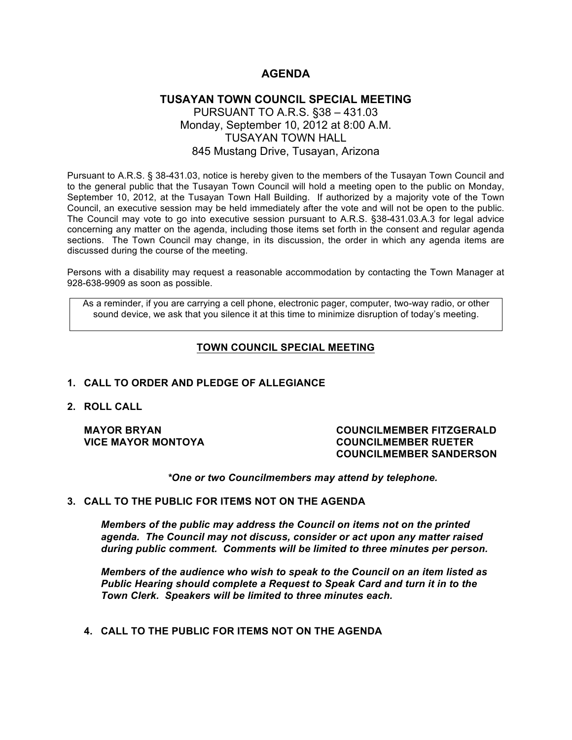# **AGENDA**

# **TUSAYAN TOWN COUNCIL SPECIAL MEETING** PURSUANT TO A.R.S. §38 – 431.03 Monday, September 10, 2012 at 8:00 A.M. TUSAYAN TOWN HALL 845 Mustang Drive, Tusayan, Arizona

Pursuant to A.R.S. § 38-431.03, notice is hereby given to the members of the Tusayan Town Council and to the general public that the Tusayan Town Council will hold a meeting open to the public on Monday, September 10, 2012, at the Tusayan Town Hall Building. If authorized by a majority vote of the Town Council, an executive session may be held immediately after the vote and will not be open to the public. The Council may vote to go into executive session pursuant to A.R.S. §38-431.03.A.3 for legal advice concerning any matter on the agenda, including those items set forth in the consent and regular agenda sections. The Town Council may change, in its discussion, the order in which any agenda items are discussed during the course of the meeting.

Persons with a disability may request a reasonable accommodation by contacting the Town Manager at 928-638-9909 as soon as possible.

As a reminder, if you are carrying a cell phone, electronic pager, computer, two-way radio, or other sound device, we ask that you silence it at this time to minimize disruption of today's meeting.

# **TOWN COUNCIL SPECIAL MEETING**

### **1. CALL TO ORDER AND PLEDGE OF ALLEGIANCE**

**2. ROLL CALL**

#### **MAYOR BRYAN COUNCILMEMBER FITZGERALD VICE MAYOR MONTOYA COUNCILMEMBER RUETER COUNCILMEMBER SANDERSON**

*\*One or two Councilmembers may attend by telephone.*

### **3. CALL TO THE PUBLIC FOR ITEMS NOT ON THE AGENDA**

*Members of the public may address the Council on items not on the printed agenda. The Council may not discuss, consider or act upon any matter raised during public comment. Comments will be limited to three minutes per person.*

*Members of the audience who wish to speak to the Council on an item listed as Public Hearing should complete a Request to Speak Card and turn it in to the Town Clerk. Speakers will be limited to three minutes each.*

**4. CALL TO THE PUBLIC FOR ITEMS NOT ON THE AGENDA**